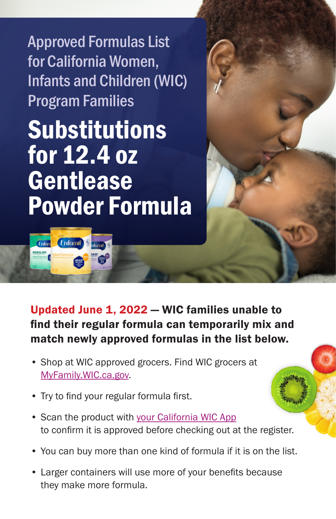Approved Formulas List for California Women, Infants and Children (WIC) Program Families

Substitutions for 12.4 oz **Gentlease** Powder Formula

**Enfomil** 

*<u>Unfon</u>* 

Updated June 1, 2022 — WIC families unable to find their regular formula can temporarily mix and match newly approved formulas in the list below.

- Shop at WIC approved grocers. Find WIC grocers at [MyFamily.WIC.ca.gov.](http://MyFamily.WIC.ca.gov)
- Try to find your regular formula first.
- Scan the product with [your California WIC App](https://www.myfamily.wic.ca.gov/Home/WICApp#WICApp) to confirm it is approved before checking out at the register.
- You can buy more than one kind of formula if it is on the list.
- Larger containers will use more of your benefits because they make more formula.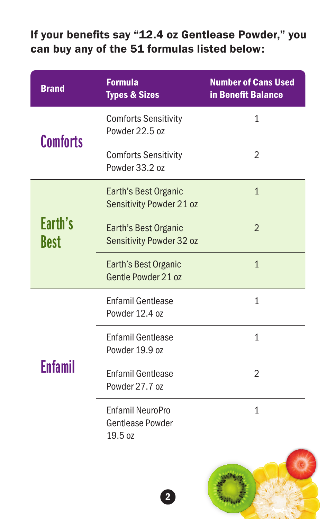## If your benefits say "12.4 oz Gentlease Powder," you can buy any of the 51 formulas listed below:

| <b>Brand</b>           | <b>Formula</b><br><b>Types &amp; Sizes</b>                    | <b>Number of Cans Used</b><br>in Benefit Balance |
|------------------------|---------------------------------------------------------------|--------------------------------------------------|
| <b>Comforts</b>        | <b>Comforts Sensitivity</b><br>Powder 22.5 oz                 | $\mathbf{1}$                                     |
|                        | <b>Comforts Sensitivity</b><br>Powder 33.2 oz                 | $\overline{2}$                                   |
| Earth's<br><b>Best</b> | Earth's Best Organic<br>Sensitivity Powder 21 oz              | $\mathbf{1}$                                     |
|                        | Earth's Best Organic<br>Sensitivity Powder 32 oz              | $\overline{2}$                                   |
|                        | Earth's Best Organic<br>Gentle Powder 21 oz                   | $\mathbf{1}$                                     |
| <b>Enfamil</b>         | <b>Enfamil Gentlease</b><br>Powder 12.4 oz                    | $\mathbf{1}$                                     |
|                        | <b>Enfamil Gentlease</b><br>Powder 19.9 oz                    | $\overline{1}$                                   |
|                        | <b>Enfamil Gentlease</b><br>Powder 27.7 oz                    | $\overline{2}$                                   |
|                        | <b>Enfamil NeuroPro</b><br><b>Gentlease Powder</b><br>19.5 oz | $\mathbf{1}$                                     |
|                        |                                                               |                                                  |

2

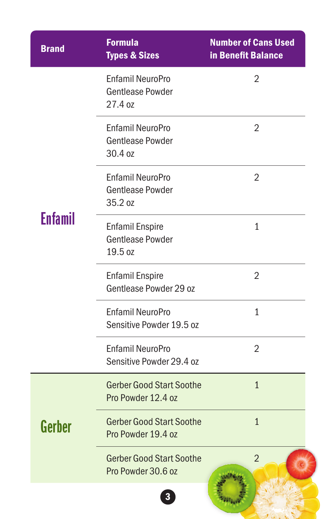| <b>Brand</b>   | <b>Formula</b><br><b>Types &amp; Sizes</b>                    | <b>Number of Cans Used</b><br>in Benefit Balance |
|----------------|---------------------------------------------------------------|--------------------------------------------------|
| <b>Enfamil</b> | <b>Enfamil NeuroPro</b><br><b>Gentlease Powder</b><br>27.4 oz | $\overline{2}$                                   |
|                | Enfamil NeuroPro<br><b>Gentlease Powder</b><br>30.4 oz        | 2                                                |
|                | <b>Enfamil NeuroPro</b><br><b>Gentlease Powder</b><br>35.2 oz | 2                                                |
|                | <b>Enfamil Enspire</b><br><b>Gentlease Powder</b><br>19.5 oz  | $\mathbf{1}$                                     |
|                | <b>Enfamil Enspire</b><br>Gentlease Powder 29 oz              | $\overline{2}$                                   |
|                | <b>Enfamil NeuroPro</b><br>Sensitive Powder 19.5 oz           | 1                                                |
|                | <b>Enfamil NeuroPro</b><br>Sensitive Powder 29.4 oz           | $\overline{2}$                                   |
| Gerber         | <b>Gerber Good Start Soothe</b><br>Pro Powder 12.4 oz         | $\mathbf{1}$                                     |
|                | <b>Gerber Good Start Soothe</b><br>Pro Powder 19.4 oz         | $\mathbf{1}$                                     |
|                | <b>Gerber Good Start Soothe</b><br>Pro Powder 30.6 oz         | $\overline{2}$                                   |
|                | 3                                                             |                                                  |

 $J(x)$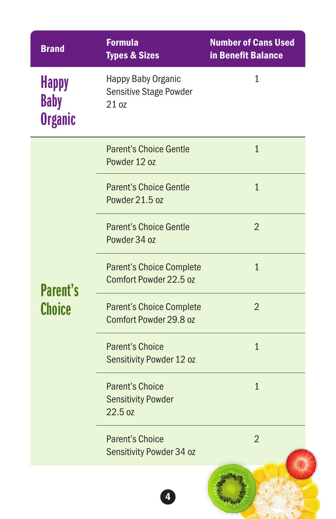| <b>Brand</b>                                  | <b>Formula</b><br><b>Types &amp; Sizes</b>                     | <b>Number of Cans Used</b><br>in Benefit Balance |
|-----------------------------------------------|----------------------------------------------------------------|--------------------------------------------------|
| <b>Happy</b><br><b>Baby</b><br><b>Organic</b> | Happy Baby Organic<br><b>Sensitive Stage Powder</b><br>21 oz   | $\mathbf{1}$                                     |
| <b>Parent's</b><br><b>Choice</b>              | <b>Parent's Choice Gentle</b><br>Powder 12 oz                  | $\overline{1}$                                   |
|                                               | <b>Parent's Choice Gentle</b><br>Powder 21.5 oz                | $\overline{1}$                                   |
|                                               | <b>Parent's Choice Gentle</b><br>Powder 34 oz                  | $\overline{2}$                                   |
|                                               | <b>Parent's Choice Complete</b><br>Comfort Powder 22.5 oz      | $\mathbf{1}$                                     |
|                                               | <b>Parent's Choice Complete</b><br>Comfort Powder 29.8 oz      | $\overline{2}$                                   |
|                                               | <b>Parent's Choice</b><br>Sensitivity Powder 12 oz             | $\mathbf{1}$                                     |
|                                               | <b>Parent's Choice</b><br><b>Sensitivity Powder</b><br>22.5 oz | $\mathbf{1}$                                     |
|                                               | <b>Parent's Choice</b><br>Sensitivity Powder 34 oz             | $\overline{2}$                                   |
|                                               |                                                                |                                                  |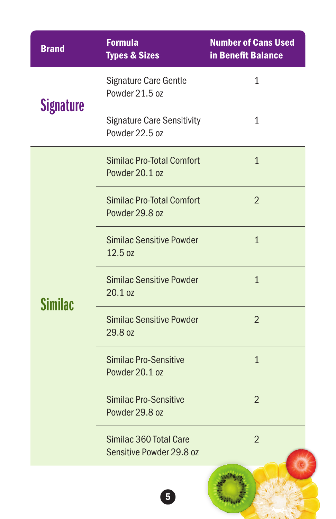| <b>Brand</b>     | <b>Formula</b><br><b>Types &amp; Sizes</b>          | <b>Number of Cans Used</b><br>in Benefit Balance |
|------------------|-----------------------------------------------------|--------------------------------------------------|
| <b>Signature</b> | Signature Care Gentle<br>Powder 21.5 oz             | 1                                                |
|                  | <b>Signature Care Sensitivity</b><br>Powder 22.5 oz | $\mathbf{1}$                                     |
| Similac          | <b>Similac Pro-Total Comfort</b><br>Powder 20.1 oz  | $\overline{1}$                                   |
|                  | <b>Similac Pro-Total Comfort</b><br>Powder 29.8 oz  | $\overline{2}$                                   |
|                  | <b>Similac Sensitive Powder</b><br>12.5 oz          | $\overline{1}$                                   |
|                  | <b>Similac Sensitive Powder</b><br>20.1 oz          | $\overline{1}$                                   |
|                  | <b>Similac Sensitive Powder</b><br>29.8 oz          | $\overline{2}$                                   |
|                  | <b>Similac Pro-Sensitive</b><br>Powder 20.1 oz      | $\overline{1}$                                   |
|                  | <b>Similac Pro-Sensitive</b><br>Powder 29.8 oz      | $\overline{2}$                                   |
|                  | Similac 360 Total Care<br>Sensitive Powder 29.8 oz  | $\overline{2}$                                   |
|                  | 5                                                   |                                                  |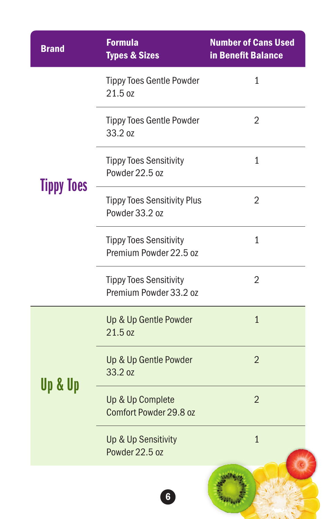| <b>Brand</b>      | <b>Formula</b><br><b>Types &amp; Sizes</b>              | <b>Number of Cans Used</b><br>in Benefit Balance |
|-------------------|---------------------------------------------------------|--------------------------------------------------|
| <b>Tippy Toes</b> | <b>Tippy Toes Gentle Powder</b><br>21.5 oz              | 1                                                |
|                   | <b>Tippy Toes Gentle Powder</b><br>33.2 oz              | 2                                                |
|                   | <b>Tippy Toes Sensitivity</b><br>Powder 22.5 oz         | $\mathbf{1}$                                     |
|                   | <b>Tippy Toes Sensitivity Plus</b><br>Powder 33.2 oz    | 2                                                |
|                   | <b>Tippy Toes Sensitivity</b><br>Premium Powder 22.5 oz | $\mathbf{1}$                                     |
|                   | <b>Tippy Toes Sensitivity</b><br>Premium Powder 33.2 oz | $\overline{2}$                                   |
| Up & Up           | Up & Up Gentle Powder<br>21.5 oz                        | $\mathbf{1}$                                     |
|                   | Up & Up Gentle Powder<br>33.2 oz                        | $\overline{2}$                                   |
|                   | Up & Up Complete<br>Comfort Powder 29.8 oz              | $\overline{2}$                                   |
|                   | Up & Up Sensitivity<br>Powder 22.5 oz                   | $\overline{1}$                                   |
|                   | $\boldsymbol{6}$                                        |                                                  |

 $J(G)$